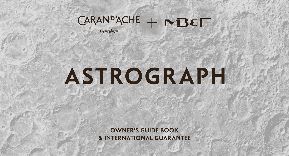# $CARAN<sup>p</sup>'ACHE + NBEF$ Genève

# **ASTROGRAPH**

OWNER'S GUIDE BOOK & INTERNATIONAL GUARANTEE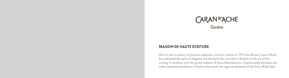# CARAN<sup>D</sup>'ACHE

# MAISON DE HAUTE ÉCRITURE

**Heir to over a century of precious expertise, since its creation in 1915 the Maison Caran d'Ache has cultivated the spirit of elegance and the particular care that it devotes to the art of fine writing. In harmony with the grand tradition of Swiss Manufactures, it passionately develops and crafts superlative products in Geneva that match the rigorous demands of the Swiss Made label.**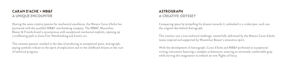# CARAN D'ACHE + MB&F A UNIQUE ENCOUNTER

**Sharing the same creative passion for mechanical excellence, the Maison Caran d'Ache has partnered with the youthful MB&F watchmaking company. The MB&F, Maximilian Büsser & Friends brand is synonymous with exceptional mechanical exploits, opening up a trailblazing path in Swiss Fine Watchmaking and kinetic art.**

**This common passion resulted in the idea of producing an exceptional piece, Astrograph, paying symbolic tribute to the spirit of exploration and to the childhood dreams at the root of technical progress.** 

# **ASTROGRAPH** A CREATIVE ODYSSEY

**Conquering space by propelling his dreams towards it, embodied in a rocket-pen: such was the original idea behind Astrograph.** 

**This creation was a true technical challenge, masterfully addressed by the Maison Caran d'Ache teams inspired and supported by Maximilian Büsser's innovative spirit.** 

**With the development of Astrograph, Caran d'Ache and MB&F perfected an exceptional writing instrument featuring a complex architecture, ensuring an extremely comfortable grip, while stirring the imagination to embark on new flights of fancy.**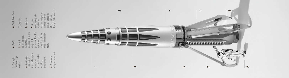**1. Cockpit and storage tanks.**

**2. Chamber.** The cap of<br>the rocket-<br>unscrews<br>to release t<br>writing the rocket-pen unscrews to release the instrument. **3. Auxiliary engine reservoir.**

**4. SAS.**

**5. Hold and engines.**

A trigger ring of the symmetrical feet. concealed in the pen enables the opening of the three stabiliser

eet. **6. Stabiliser feet.** 6 Stabiliser

**7. Ladder.**

**8. Engine.**

**9. Astro.** delivered Astrograph is with a magnetic astronaut that can be attached at will to the

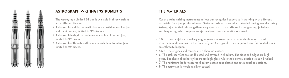

#### ASTROGRAPH WRITING INSTRUMENTS

**The Astrograph Limited Edition is available in three versions with different finishes:** 

- **Astrograph sandblasted matt rhodium available in roller pen • and fountain pen, limited to 99 pieces each.**
- **Astrograph high gloss rhodium available in fountain pen, • limited to 99 pieces.**
- **Astrograph anthracite ruthenium available in fountain pen, •limited to 99 pieces.**

#### THE MATERIALS

**Caran d'Ache writing instruments reflect our recognised expertise in working with different materials. Each pen produced in our Swiss workshop is carefully controlled during manufacturing. Astrograph Limited Edition gathers very special artistic crafts such as engraving, polishing and lacquering, which require exceptional precision and meticulous work.**

- **• 1&3: The cockpit and auxiliary engine reservoir are either coated in rhodium or coated in ruthenium depending on the finish of your Astrograph. The chequered motif is created using an anthracite lacquer.**
- **• 5&8: The engines and reactor are ruthenium-coated.**
- **• 6: The stabiliser feet are sandblasted and covered in rhodium. The sides and edges are high gloss. The shock absorber cylinders are high gloss, while their central section is satin-brushed.**
- **• 7: The miniature ladder features rhodium-coated sandblasted and satin-brushed sections.**

**• 9: The astronaut is rhodium, silver-coated.**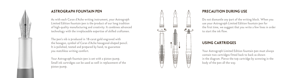

#### ASTROGRAPH FOUNTAIN PEN

**As with each Caran d'Ache writing instrument, your Astrograph Limited Edition fountain pen is the product of our long tradition of high-quality manufacturing and creativity. It combines advanced technology with the irreplaceable expertise of skilled craftsmen.**

**The pen's nib is produced in 18-carat gold engraved with the hexagon, symbol of Caran d'Ache hexagonal-shaped pencil. It is polished, tested and prepared by hand, to guarantee you matchless writing comfort.**

**Your Astrograph fountain pen is set with a piston pump. Small ink cartridges can be used as well in replacement of the piston pump.**



#### PRECAUTION DURING USE

**Do not dismantle any part of the writing block. When you use your Astrograph Limited Edition fountain pen for the first time, we suggest that you write a few lines in order to start the ink flow.**

#### USING CARTRIDGES

**Your Astrograph Limited Edition fountain pen must always contain two cartridges fitted back to back as shown in the diagram. Pierce the top cartridge by screwing in the body of the pen all the way.**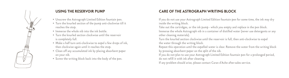

#### USING THE RESERVOIR PUMP

- **Unscrew the Astrograph Limited Edition fountain pen. • Turn the knurled section of the pump anti-clockwise till it • reaches the stop.**
- **Immerse the whole nib into the ink bottle. •**
- **Turn the knurled section clockwise until the reservoir • is completely full.**
- **Make a half turn anti-clockwise to expel a few drops of ink, • then clockwise again until it reaches the stop.**
- **Clean off any accumulated ink by placing absorbent paper • on your nib.**
- **Screw the writing block back into the body of the pen. •**

# CARE OF THE ASTROGRAPH WRITING BLOCK

**If you do not use your Astrograph Limited Edition fountain pen for some time, the ink may dry inside the writing block.**

**Take out the cartridges, or the ink pump - which you empty and replace in the pen block. Immerse the whole Astrograph nib in a container of distilled water (never use detergents or any other cleaning materials).**

**Turn the knurled section clockwise until the reservoir is full, then anti-clockwise to expel the water through the writing block.**

**Repeat this operation until the expelled water is clear. Remove the water from the writing block by pressing absorbent paper on the split of the nib.**

**If you do not plan to use your Astrograph Limited Edition fountain pen for a prolonged period, do not refill it with ink after cleaning.**

**If any problem should arise, please contact Caran d'Ache after-sales service.**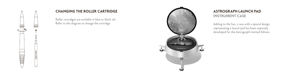

Н

#### CHANGING THE ROLLER CARTRIDGE

**Roller cartridges are available in blue or black ink. Refer to the diagram to change the cartridge.**



# ASTROGRAPH LAUNCH PAD INSTRUMENT CASE

**Adding to the fun, a case with a special design representing a launch pad has been expressly developed for the Astrograph Limited Edition.**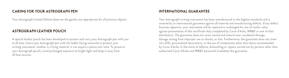#### CARING FOR YOUR ASTROGRAPH PEN

**Your Astrograph Limited Edition deserves the gentle care appropriate for all precious objects.**

#### ASTROGRAPH LEATHER POUCH

**A special leather pouch has been developed to protect and carry your Astrograph pen with you at all time. Insert your Astrograph pen with the ladder facing outwards to protect your writing instrument. Leather is a living material; it can acquire a patina over time. To preserve your Astrograph pouch, avoid prolonged exposure to bright light and keep it away from all heat sources.**

#### INTERNATIONAL GUARANTEE

**Your Astrograph writing instrument has been manufactured to the highest standards and is covered by an international guarantee against all material and manufacturing defects. If any defect becomes apparent, your instrument will be repaired or exchanged for one of similar value against presentation of this certificate duly completed by Caran d'Ache, MB&F or one of their distributors. The guarantee does not cover normal and natural wear, accidental damage, damage arising from improper use or shocks, or loss. Furthermore, the guarantee does not cover ink refills, personalised decorations, or the use of components other than those recommended by Caran d'Ache. In the event of defects, dismantling or repairs carried out by persons other than authorised Caran d'Ache and MB&F personnel invalidates the guarantee.**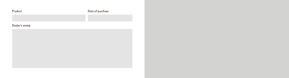| Product        | Date of purchase |
|----------------|------------------|
|                |                  |
| Dealer's stamp |                  |
|                |                  |
|                |                  |
|                |                  |
|                |                  |
|                |                  |
|                |                  |